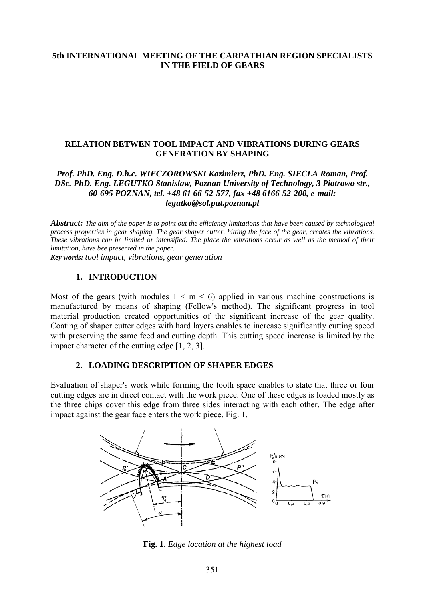# **5th INTERNATIONAL MEETING OF THE CARPATHIAN REGION SPECIALISTS IN THE FIELD OF GEARS**

## **RELATION BETWEN TOOL IMPACT AND VIBRATIONS DURING GEARS GENERATION BY SHAPING**

### *Prof. PhD. Eng. D.h.c. WIECZOROWSKI Kazimierz, PhD. Eng. SIECLA Roman, Prof. DSc. PhD. Eng. LEGUTKO Stanislaw, Poznan University of Technology, 3 Piotrowo str., 60-695 POZNAN, tel. +48 61 66-52-577, fax +48 6166-52-200, e-mail: legutko@sol.put.poznan.pl*

*Abstract: The aim of the paper is to point out the efficiency limitations that have been caused by technological process properties in gear shaping. The gear shaper cutter, hitting the face of the gear, creates the vibrations. These vibrations can be limited or intensified. The place the vibrations occur as well as the method of their limitation, have bee presented in the paper.* 

*Key words: tool impact, vibrations, gear generation*

### **1. INTRODUCTION**

Most of the gears (with modules  $1 \le m \le 6$ ) applied in various machine constructions is manufactured by means of shaping (Fellow's method). The significant progress in tool material production created opportunities of the significant increase of the gear quality. Coating of shaper cutter edges with hard layers enables to increase significantly cutting speed with preserving the same feed and cutting depth. This cutting speed increase is limited by the impact character of the cutting edge [1, 2, 3].

#### **2. LOADING DESCRIPTION OF SHAPER EDGES**

Evaluation of shaper's work while forming the tooth space enables to state that three or four cutting edges are in direct contact with the work piece. One of these edges is loaded mostly as the three chips cover this edge from three sides interacting with each other. The edge after impact against the gear face enters the work piece. Fig. 1.



**Fig. 1.** *Edge location at the highest load*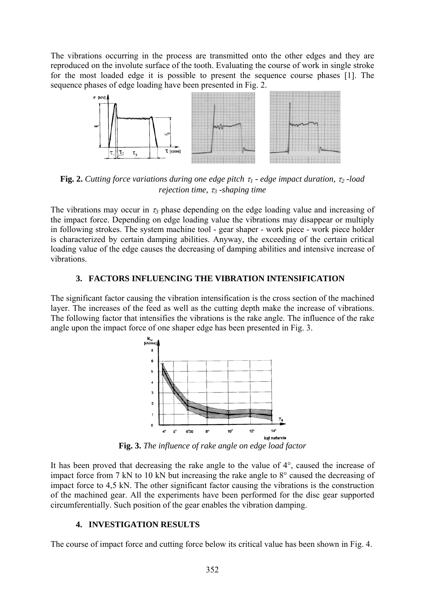The vibrations occurring in the process are transmitted onto the other edges and they are reproduced on the involute surface of the tooth. Evaluating the course of work in single stroke for the most loaded edge it is possible to present the sequence course phases [1]. The sequence phases of edge loading have been presented in Fig. 2.



**Fig. 2.** *Cutting force variations during one edge pitch* τ*1 - edge impact duration,* τ*2 -load rejection time,* τ*3 -shaping time* 

The vibrations may occur in  $\tau_3$  phase depending on the edge loading value and increasing of the impact force. Depending on edge loading value the vibrations may disappear or multiply in following strokes. The system machine tool - gear shaper - work piece - work piece holder is characterized by certain damping abilities. Anyway, the exceeding of the certain critical loading value of the edge causes the decreasing of damping abilities and intensive increase of vibrations.

## **3. FACTORS INFLUENCING THE VIBRATION INTENSIFICATION**

The significant factor causing the vibration intensification is the cross section of the machined layer. The increases of the feed as well as the cutting depth make the increase of vibrations. The following factor that intensifies the vibrations is the rake angle. The influence of the rake angle upon the impact force of one shaper edge has been presented in Fig. 3.



**Fig. 3.** *The influence of rake angle on edge load factor* 

It has been proved that decreasing the rake angle to the value of 4°, caused the increase of impact force from 7 kN to 10 kN but increasing the rake angle to 8° caused the decreasing of impact force to 4,5 kN. The other significant factor causing the vibrations is the construction of the machined gear. All the experiments have been performed for the disc gear supported circumferentially. Such position of the gear enables the vibration damping.

# **4. INVESTIGATION RESULTS**

The course of impact force and cutting force below its critical value has been shown in Fig. 4.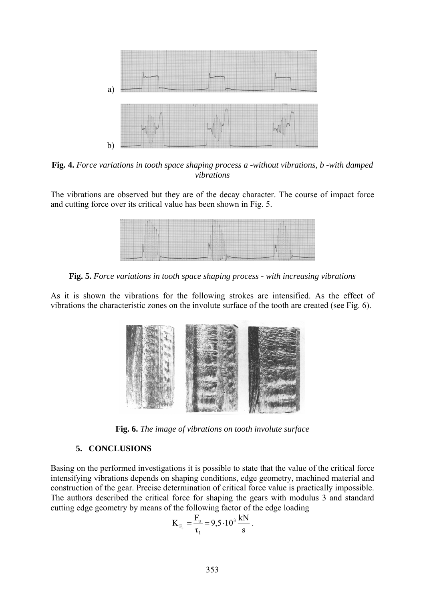

**Fig. 4.** *Force variations in tooth space shaping process a -without vibrations, b -with damped vibrations* 

The vibrations are observed but they are of the decay character. The course of impact force and cutting force over its critical value has been shown in Fig. 5.



**Fig. 5.** *Force variations in tooth space shaping process - with increasing vibrations* 

As it is shown the vibrations for the following strokes are intensified. As the effect of vibrations the characteristic zones on the involute surface of the tooth are created (see Fig. 6).



**Fig. 6.** *The image of vibrations on tooth involute surface* 

# **5. CONCLUSIONS**

Basing on the performed investigations it is possible to state that the value of the critical force intensifying vibrations depends on shaping conditions, edge geometry, machined material and construction of the gear. Precise determination of critical force value is practically impossible. The authors described the critical force for shaping the gears with modulus 3 and standard cutting edge geometry by means of the following factor of the edge loading

$$
K_{F_u} = \frac{F_u}{\tau_1} = 9.5 \cdot 10^3 \frac{kN}{s}.
$$